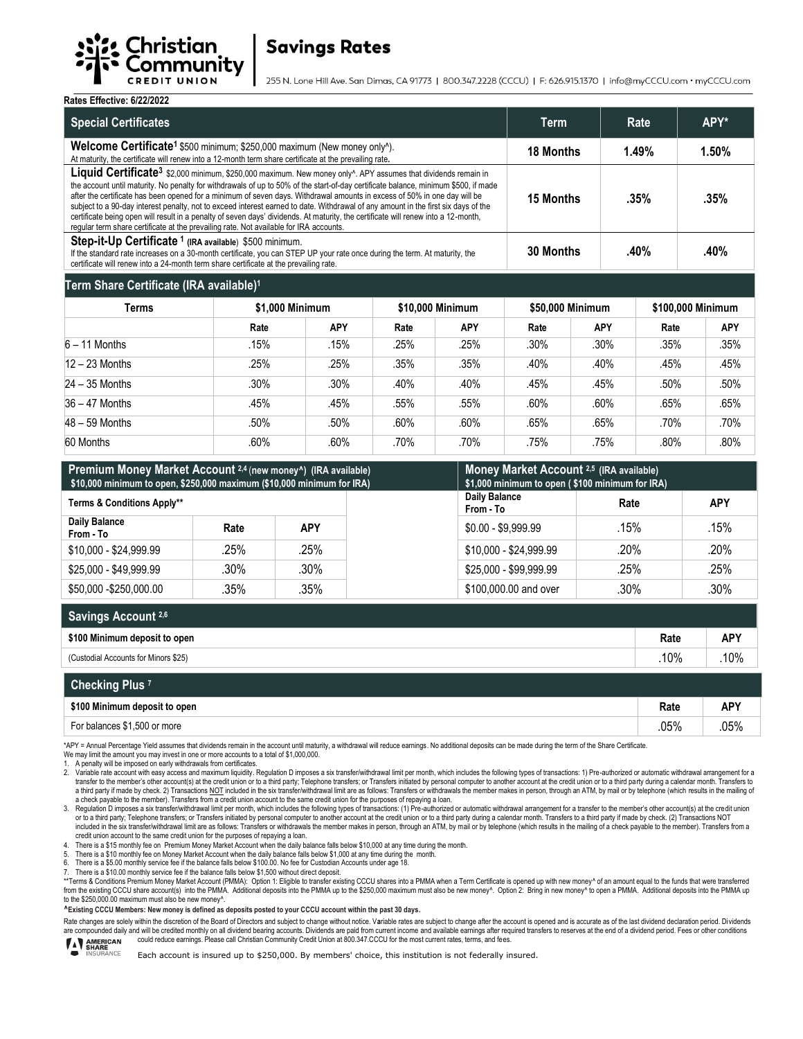

# **Savings Rates**

255 N. Lone Hill Ave. San Dimas, CA 91773 | 800.347.2228 (CCCU) | F: 626.915.1370 | info@myCCCU.com · myCCCU.com

**Rates Effective: 6/22/2022** 

| INGLC3 LIICCHVC. VI <i>ll</i> ilve                                                                                                                                                                                                                                                                                                                                                                                                                                                                                                                                                                                                                                                                                                                                               |                                                                                                                                                                                                                                          |                   |                        |                         |      |  |  |
|----------------------------------------------------------------------------------------------------------------------------------------------------------------------------------------------------------------------------------------------------------------------------------------------------------------------------------------------------------------------------------------------------------------------------------------------------------------------------------------------------------------------------------------------------------------------------------------------------------------------------------------------------------------------------------------------------------------------------------------------------------------------------------|------------------------------------------------------------------------------------------------------------------------------------------------------------------------------------------------------------------------------------------|-------------------|------------------------|-------------------------|------|--|--|
| <b>Special Certificates</b>                                                                                                                                                                                                                                                                                                                                                                                                                                                                                                                                                                                                                                                                                                                                                      |                                                                                                                                                                                                                                          |                   | Term                   | Rate                    | APY* |  |  |
| Welcome Certificate <sup>1</sup> \$500 minimum; \$250,000 maximum (New money only <sup>^</sup> ).<br>At maturity, the certificate will renew into a 12-month term share certificate at the prevailing rate.                                                                                                                                                                                                                                                                                                                                                                                                                                                                                                                                                                      | 18 Months                                                                                                                                                                                                                                | 1.49%             | 1.50%                  |                         |      |  |  |
| Liquid Certificate <sup>3</sup> \$2,000 minimum, \$250,000 maximum. New money only <sup>A</sup> . APY assumes that dividends remain in<br>the account until maturity. No penalty for withdrawals of up to 50% of the start-of-day certificate balance, minimum \$500, if made<br>after the certificate has been opened for a minimum of seven days. Withdrawal amounts in excess of 50% in one day will be<br>subject to a 90-day interest penalty, not to exceed interest earned to date. Withdrawal of any amount in the first six days of the<br>certificate being open will result in a penalty of seven days' dividends. At maturity, the certificate will renew into a 12-month,<br>reqular term share certificate at the prevailing rate. Not available for IRA accounts. |                                                                                                                                                                                                                                          |                   | <b>15 Months</b>       | .35%                    | .35% |  |  |
| Step-it-Up Certificate <sup>1</sup> (IRA available) \$500 minimum.                                                                                                                                                                                                                                                                                                                                                                                                                                                                                                                                                                                                                                                                                                               | 30 Months<br>.40%<br>If the standard rate increases on a 30-month certificate, you can STEP UP your rate once during the term. At maturity, the<br>certificate will renew into a 24-month term share certificate at the prevailing rate. |                   |                        | .40%                    |      |  |  |
| Term Share Certificate (IRA available) <sup>1</sup>                                                                                                                                                                                                                                                                                                                                                                                                                                                                                                                                                                                                                                                                                                                              |                                                                                                                                                                                                                                          |                   |                        |                         |      |  |  |
| <b>Tarma</b>                                                                                                                                                                                                                                                                                                                                                                                                                                                                                                                                                                                                                                                                                                                                                                     | <b>C4 000 Minimum</b>                                                                                                                                                                                                                    | $640.000$ Minimum | <b>CEO OOO Minimum</b> | <b>C400 000 Minimum</b> |      |  |  |

| Terms            | \$1,000 Minimum |            | \$10,000 Minimum |            | \$50,000 Minimum |            | \$100,000 Minimum |            |
|------------------|-----------------|------------|------------------|------------|------------------|------------|-------------------|------------|
|                  | Rate            | <b>APY</b> | Rate             | <b>APY</b> | Rate             | <b>APY</b> | Rate              | <b>APY</b> |
| $6 - 11$ Months  | .15%            | .15%       | .25%             | .25%       | .30%             | $.30\%$    | .35%              | .35%       |
| $12 - 23$ Months | .25%            | .25%       | .35%             | .35%       | .40%             | .40%       | .45%              | .45%       |
| $24 - 35$ Months | .30%            | .30%       | .40%             | .40%       | .45%             | .45%       | .50%              | .50%       |
| $36 - 47$ Months | .45%            | .45%       | .55%             | .55%       | .60%             | .60%       | .65%              | .65%       |
| $48 - 59$ Months | .50%            | .50%       | .60%             | .60%       | .65%             | .65%       | .70%              | .70%       |
| 60 Months        | .60%            | .60%       | .70%             | .70%       | .75%             | .75%       | .80%              | .80%       |

| Premium Money Market Account 2,4 (new money <sup>A</sup> ) (IRA available)<br>\$10,000 minimum to open, \$250,000 maximum (\$10,000 minimum for IRA) |         |            | Money Market Account 2,5 (IRA available)<br>\$1,000 minimum to open (\$100 minimum for IRA) |                        |            |         |
|------------------------------------------------------------------------------------------------------------------------------------------------------|---------|------------|---------------------------------------------------------------------------------------------|------------------------|------------|---------|
| <b>Terms &amp; Conditions Apply**</b>                                                                                                                |         |            | Daily Balance<br>From - To                                                                  | Rate                   | <b>APY</b> |         |
| <b>Daily Balance</b><br>From - To                                                                                                                    | Rate    | <b>APY</b> |                                                                                             | $$0.00 - $9.999.99$    | .15%       | .15%    |
| \$10,000 - \$24,999.99                                                                                                                               | .25%    | .25%       |                                                                                             | \$10,000 - \$24.999.99 | .20%       | $.20\%$ |
| \$25,000 - \$49,999.99                                                                                                                               | $.30\%$ | $.30\%$    |                                                                                             | \$25,000 - \$99.999.99 | .25%       | .25%    |
| \$50,000 - \$250,000,00                                                                                                                              | .35%    | .35%       |                                                                                             | \$100,000,00 and over  | $.30\%$    | $.30\%$ |

| Savings Account 2,6                  |      |            |
|--------------------------------------|------|------------|
| \$100 Minimum deposit to open        | Rate | <b>APY</b> |
| (Custodial Accounts for Minors \$25) | 10%  | 10%        |

| Checking Plus <sup>7</sup>    |      |            |
|-------------------------------|------|------------|
| \$100 Minimum deposit to open | Rate | <b>APY</b> |
| For balances \$1,500 or more  | .05% | .05%       |

\*APY = Annual Percentage Yield assumes that dividends remain in the account until maturity, a withdrawal will reduce earnings. No additional deposits can be made during the term of the Share Certificate.

We may limit the amount you may invest in one or more accounts to a total of \$1,000,000.

1. A penalty will be imposed on early withdrawals from certificates.<br>2. Variable rate account with easy access and maximum liquidity.

A Variable rate account with easy access and maximum liquidity. Regulation D imposes a six transfer/withdrawal limit per month, which includes the following types of transactions: 1) Pre-authorized or automatic withdrawal transfer to the member's other account(s) at the credit union or to a third party, Telephone transfers; or Transfers initiated by personal computer to another account at the credit union or to a third party during a calend a third party if made by check. 2) Transactions NOT included in the six transferiwithdrawal limit are as follows: Transfers or withdrawals the member makes in person, through an ATM, by mail or by telephone (which results a check payable to the member). Transfers from a credit union account to the same credit union for the purposes of repaying a loan.

3. Regulation D imposes a six transfer/withdrawal limit per month, which includes the following types of transactions: (1) Pre-authorized or automatic withdrawal arrangement for a transfer to the member's other account(s) included in the six transfer/withdrawal limit are as follows: Transfers or withdrawals the member makes in person, through an ATM, by mail or by telephone (which results in the mailing of a check payable to the member). Tr credit union account to the same credit union for the purposes of repaying a loan.

4. There is a \$15 monthly fee on Premium Money Market Account when the daily balance falls below \$10,000 at any time during the month.<br>5. There is a \$10 monthly fee on Money Market Account when the daily balance falls helo

5. There is a \$10 monthly fee on Money Market Account when the daily balance falls below \$1,000 at any time during the month.<br>6. There is a \$5.00 monthly service fee if the balance falls below \$100.00. No fee for Cust

7. There is a \$10.00 monthly service fee if the balance falls below \$1,500 without direct deposit.<br>\*\*Terms & Conditions Premium Money Market Account (PMMA): Option 1: Eligible to transfer existing CCCU shares into a PMMA to the \$250,000.00 maximum must also be new money^.

**^Existing CCCU Members: New money is defined as deposits posted to your CCCU account within the past 30 days.**

Rate changes are solely within the discretion of the Board of Directors and subject to change without notice. Variable rates are subject to change after the account is opened and is accurate as of the last dividend declara are compounded daily and will be credited monthly on all dividend bearing accounts. Dividends are paid from current income and available earnings after required transfers to reserves at the end of a dividend period. Fees o

Each account is insured up to \$250,000. By members' choice, this institution is not federally insured.